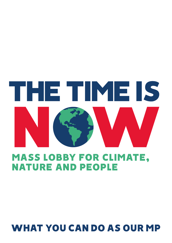# THE TIME IS MASS LOBBY FOR CLIMATE,

NATURE AND PEOPLE

# WHAT YOU CAN DO AS OUR MP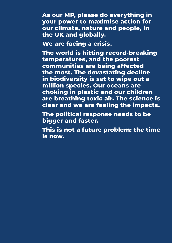**As our MP, please do everything in your power to maximise action for our climate, nature and people, in the UK and globally.** 

**We are facing a crisis.** 

**The world is hitting record-breaking temperatures, and the poorest communities are being affected the most. The devastating decline in biodiversity is set to wipe out a million species. Our oceans are choking in plastic and our children are breathing toxic air. The science is clear and we are feeling the impacts.** 

**The political response needs to be bigger and faster.** 

**This is not a future problem: the time is now.**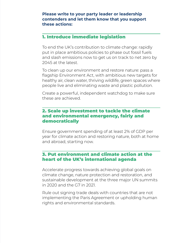#### **Please write to your party leader or leadership contenders and let them know that you support these actions:**

## 1. Introduce immediate legislation

To end the UK's contribution to climate change: rapidly put in place ambitious policies to phase out fossil fuels and slash emissions now to get us on track to net zero by 2045 at the latest.

To clean up our environment and restore nature: pass a flagship Environment Act, with ambitious new targets for healthy air, clean water, thriving wildlife, green spaces where people live and eliminating waste and plastic pollution.

Create a powerful, independent watchdog to make sure these are achieved.

#### 2. Scale up investment to tackle the climate and environmental emergency, fairly and democratically

Ensure government spending of at least 2% of GDP per year for climate action and restoring nature, both at home and abroad, starting now.

# 3. Put environment and climate action at the heart of the UK's international agenda

Accelerate progress towards achieving global goals on climate change, nature protection and restoration, and sustainable development at the three major UN summits in 2020 and the G7 in 2021.

Rule out signing trade deals with countries that are not implementing the Paris Agreement or upholding human rights and environmental standards.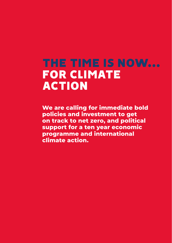# THE TIME IS NOW… FOR CLIMATE ACTION

**We are calling for immediate bold policies and investment to get on track to net zero, and political support for a ten year economic programme and international climate action.**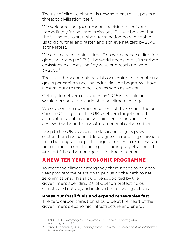The risk of climate change is now so great that it poses a threat to civilisation itself.

We welcome the government's decision to legislate immediately for net zero emissions. But we believe that the UK needs to start short term action now to enable us to go further and faster, and achieve net zero by 2045 at the latest.

We are in a race against time. To have a chance of limiting global warming to 1.5°C, the world needs to cut its carbon emissions by almost half by 2030 and reach net zero by 2050.<sup>1</sup>

The UK is the second biggest historic emitter of greenhouse gases per capita since the industrial age began. We have a moral duty to reach net zero as soon as we can.

Getting to net zero emissions by 2045 is feasible and would demonstrate leadership on climate change.<sup>2</sup>

We support the recommendations of the Committee on Climate Change that the UK's net zero target should account for aviation and shipping emissions and be achieved without the use of international carbon offsets.

Despite the UK's success in decarbonising its power sector, there has been little progress in reducing emissions from buildings, transport or agriculture. As a result, we are not on track to meet our legally binding targets, under the 4th and 5th carbon budgets. It is time for action.

## A NEW TEN YEAR ECONOMIC PROGRAMME

To meet the climate emergency, there needs to be a ten year programme of action to put us on the path to net zero emissions. This should be supported by the government spending 2% of GDP on protecting our climate and nature, and include the following actions:

#### **Phase out fossil fuels and expand renewables fast**

The zero carbon transition should be at the heart of the government's economic, infrastructure and energy

<sup>1</sup> IPCC, 2018, *Summary for policymakers,* 'Special report: global warming of 1.5 ºC'

<sup>2</sup> Vivid Economics, 2018, *Keeping it cool: how the UK can end its contribution to climate change*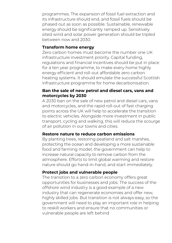programmes. The expansion of fossil fuel extraction and its infrastructure should end, and fossil fuels should be phased out as soon as possible. Sustainable, renewable energy should be significantly ramped up. Sensitively sited wind and solar power generation should be tripled between now and 2030.

#### **Transform home energy**

Zero carbon homes must become the number one UK infrastructure investment priority. Capital funding, regulations and financial incentives should be put in place for a ten year programme, to make every home highly energy efficient and roll-out affordable zero carbon heating systems. It should emulate the successful Scottish infrastructure programme for home decarbonisation.

#### **Ban the sale of new petrol and diesel cars, vans and motorcycles by 2030**

A 2030 ban on the sale of new petrol and diesel cars, vans and motorcycles, and the rapid roll-out of fast charging points across the UK will help to accelerate the transition to electric vehicles. Alongside more investment in public transport, cycling and walking, this will reduce the scourge of air pollution in our towns and cities.

#### **Restore nature to reduce carbon emissions**

By planting trees, restoring peatland and salt marshes, protecting the ocean and developing a more sustainable food and farming model, the government can help to increase natural capacity to remove carbon from the atmosphere. Efforts to limit global warming and restore nature should go hand-in-hand, and start immediately.

#### **Protect jobs and vulnerable people**

The transition to a zero carbon economy offers great opportunities for businesses and jobs. The success of the offshore wind industry is a good example of a new industry that can regenerate economies and offer new, highly skilled jobs. But transition is not always easy, so the government will need to play an important role in helping to reskill workers and ensure that no communities or vulnerable people are left behind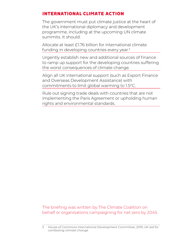# INTERNATIONAL CLIMATE ACTION

The government must put climate justice at the heart of the UK's international diplomacy and development programme, including at the upcoming UN climate summits. It should:

Allocate at least £1.76 billion for international climate funding in developing countries every year.<sup>3</sup>

Urgently establish new and additional sources of finance to ramp up support for the developing countries suffering the worst consequences of climate change.

Align all UK international support (such as Export Finance and Overseas Development Assistance) with commitments to limit global warming to 1.5°C.

Rule out signing trade deals with countries that are not implementing the Paris Agreement or upholding human rights and environmental standards.

#### The briefing was written by The Climate Coalition on behalf or organisations campaigning for net zero by 2045.

<sup>3</sup> House of Commons International Development Committee, 2019, *UK aid for combating climate change*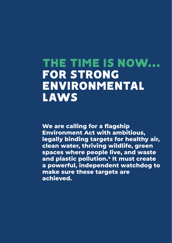# THE TIME IS NOW… FOR STRONG ENVIRONMENTAL **LAWS**

**We are calling for a flagship Environment Act with ambitious, legally binding targets for healthy air, clean water, thriving wildlife, green spaces where people live, and waste and plastic pollution.4 It must create a powerful, independent watchdog to make sure these targets are achieved.**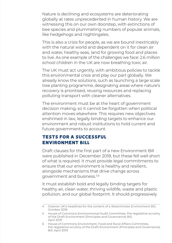Nature is declining and ecosystems are deteriorating globally at rates unprecedented in human history. We are witnessing this on our own doorstep, with extinctions of bee species and plummeting numbers of popular animals, like hedgehogs and nightingales.

This is also a crisis for people, as we are bound inextricably with the natural world and dependent on it for clean air and water, healthy seas, land for growing food and places to live. As one example of the challenges we face: 2.6 million school children in the UK are now breathing toxic air.

The UK must act urgently, with ambitious policies to tackle this environmental crisis and play our part globally. We already know the solutions, such as launching a large scale tree planting programme, designating areas where nature's recovery is prioritised, reusing resources and replacing polluting transport with cleaner alternatives.

The environment must be at the heart of government decision making, so it cannot be forgotten when political attention moves elsewhere. This requires new objectives enshrined in law, legally binding targets to enhance our environment and robust institutions to hold current and future governments to account.

# TESTS FOR A SUCCESSFUL ENVIRONMENT BILL

Draft clauses for the first part of a new Environment Bill were published in December 2018, but these fell well short of what is required. It must provide legal commitments to ensure that our environment is healthy and resilient, alongside mechanisms that drive change across government and business.5,6

It must establish bold and legally binding targets for healthy air, clean water, thriving wildlife, waste and plastic pollution, and our global footprint. It should progressively

<sup>4</sup> Greener UK's headlines for the content of a Westminster Environment Bill, October 2018

<sup>5</sup> House of Commons Environmental Audit Committee, Pre-legislative scrutiny of the Draft Environment (Principles and Governance) Bill, April 2019

<sup>6</sup> House of Commons Environment, Food and Rural Affairs Committee, Pre-legislative scrutiny of the Draft Environment (Principles and Governance) Bill, April 2019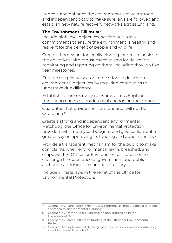improve and enhance the environment, create a strong and independent body to make sure laws are followed and establish new nature recovery networks across England.

#### **The Environment Bill must:**

Include high level objectives, setting out in law commitments to ensure the environment is healthy and resilient for the benefit of people and wildlife

Create a framework for legally binding targets, to achieve the objectives with robust mechanisms for delivering, monitoring and reporting on them, including through five year milestones.

Engage the private sector in the effort to deliver on environmental objectives by requiring companies to undertake due diligence.

Establish nature recovery networks across England, translating national aims into real change on the ground.<sup>7</sup>

Guarantee that environmental standards will not be weakened<sup>8</sup>

Create a strong and independent environmental watchdog: the Office for Environmental Protection provided with multi-year budgets, and give parliament a greater say on approving its funding and appointments.<sup>9</sup>

Provide a transparent mechanism for the public to make complaints when environmental law is breached, and empower the Office for Environmental Protection to challenge the substance of government and public authorities' decisions in court if necessary.

Include climate laws in the remit of the Office for Environmental Protection<sup>10</sup>

<sup>7</sup> Greener UK, March 2019, 'Why the Environment Bill must enable a strategic approach to environmental planning'

<sup>8</sup>  Greener UK, October 2018, 'Briefing on non-regression in the Environment Bill'

<sup>9</sup>  Greener UK, March 2019, 'The funding of the Office for Environmental Protection'

<sup>10</sup> Greener UK, September 2018, 'Why the proposed new environmental body should enforce climate law'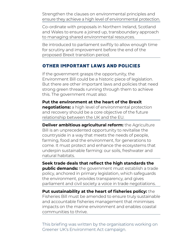Strengthen the clauses on environmental principles and ensure they achieve a high level of environmental protection.

Co-ordinate with proposals in Northern Ireland, Scotland and Wales to ensure a joined up, transboundary approach to managing shared environmental resources.

Be introduced to parliament swiftly to allow enough time for scrutiny and improvement before the end of the proposed Brexit transition period.

## OTHER IMPORTANT LAWS AND POLICIES

If the government grasps the opportunity, the Environment Bill could be a historic piece of legislation. But there are other important laws and policies that need strong green threads running through them to achieve this. The government must also:

**Put the environment at the heart of the Brexit negotiations:** a high level of environmental protection and recovery should be a core objective of the future relationship between the UK and the EU.

**Deliver ambitious agricultural reform:** the Agriculture Bill is an unprecedented opportunity to revitalise the countryside in a way that meets the needs of people, farming, food and the environment, for generations to come. It must protect and enhance the ecosystems that underpin sustainable farming: our soils, freshwater and natural habitats.

**Seek trade deals that reflect the high standards the public demands:** the government must establish a trade policy, anchored in primary legislation, which safeguards the environment, provides transparency, and gives parliament and civil society a voice in trade negotiations.

**Put sustainability at the heart of fisheries policy:** the Fisheries Bill must be amended to ensure truly sustainable and accountable fisheries management that minimises impacts on the marine environment and enables coastal communities to thrive.

This briefing was written by the organisations working on Greener UK's Environment Act campaign.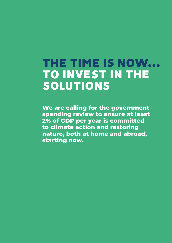# THE TIME IS NOW… TO INVEST IN THE SOLUTIONS

**We are calling for the government spending review to ensure at least 2% of GDP per year is committed to climate action and restoring nature, both at home and abroad, starting now.**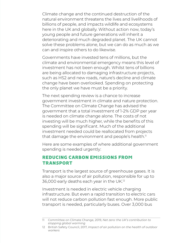Climate change and the continued destruction of the natural environment threatens the lives and livelihoods of billions of people, and impacts wildlife and ecosystems here in the UK and globally. Without action now, today's young people and future generations will inherit a deteriorating and much degraded planet. The UK cannot solve these problems alone, but we can do as much as we can and inspire others to do likewise.

Governments have invested tens of millions, but the climate and environmental emergency means this level of investment has not been enough. Whilst tens of billions are being allocated to damaging infrastructure projects, such as HS2 and new roads, nature's decline and climate change have been overlooked. Spending on protecting the only planet we have must be a priority.

The next spending review is a chance to increase government investment in climate and nature protection. The Committee on Climate Change has advised the government that a total investment of 1-2% GDP per year is needed on climate change alone. The costs of not investing will be much higher, while the benefits of this spending will be significant. Much of the additional investment needed could be reallocated from projects that damage the environment and people's health.<sup>11</sup>

Here are some examples of where additional government spending is needed urgently:

## REDUCING CARBON EMISSIONS FROM TRANSPORT

Transport is the largest source of greenhouse gases. It is also a major source of air pollution, responsible for up to 36,000 early deaths each year in the UK.12

Investment is needed in electric vehicle charging infrastructure. But even a rapid transition to electric cars will not reduce carbon pollution fast enough. More public transport is needed, particularly buses. Over 3,000 bus

<sup>11</sup> Committee on Climate Change, 2019, *Net zero: the UK's contribution to stopping global warming*

<sup>12</sup> British Safety Council, 2017, *Impact of air pollution on the health of outdoor workers*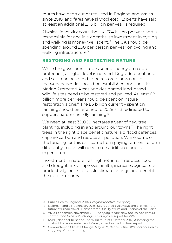routes have been cut or reduced in England and Wales since 2010, and fares have skyrocketed. Experts have said at least an additional £1.3 billion per year is required.

Physical inactivity costs the UK £7.4 billion per year and is responsible for one in six deaths, so investment in cycling and walking is money well spent.<sup>13</sup> The UK should be spending around £50 per person per year on cycling and walking infrastructure.<sup>14</sup>

# RESTORING AND PROTECTING NATURE

While the government does spend money on nature protection, a higher level is needed. Degraded peatlands and salt marshes need to be restored, new nature recovery networks should be established and the UK's Marine Protected Areas and designated land-based wildlife sites need to be restored and policed. At least £2 billion more per year should be spent on nature restoration alone.<sup>15</sup> The £3 billion currently spent on farming should be retained to 2028 and redirected to support nature-friendly farming.<sup>16</sup>

We need at least 30,000 hectares a year of new tree planting, including in and around our towns.17 The right trees in the right place benefit nature, aid flood defences, capture carbon and reduce air pollution. While some of the funding for this can come from paying farmers to farm differently, much will need to be additional public expenditure.

Investment in nature has high returns. It reduces flood and drought risks, improves health, increases agricultural productivity, helps to tackle climate change and benefits the rural economy.

<sup>13</sup> Public Health England, 2014, *Everybody active, every day*

<sup>14</sup> L Sloman and L Hopkinson, 2019, 'Segregated cycleways and e-bikes – the future of urban travel', Transport for Quality of Life and Friends of the Earth

<sup>15</sup> Vivid Economics, November 2018, *Keeping it cool: how the UK can end its contribution to climate change*, an analytical report for WWF

<sup>16</sup> RSPB, National Trust and The Wildlife Trusts, October 2017, 'Assessing the costs of Environmental Land Management in the UK: final report'

<sup>17</sup> Committee on Climate Change, May 2019, *Net zero: the UK's contribution to stopping global warming*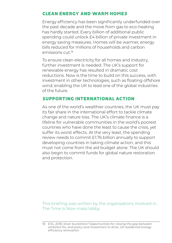# CLEAN ENERGY AND WARM HOMES

Energy efficiency has been significantly underfunded over the past decade and the move from gas to eco-heating has hardly started. Every billion of additional public spending could unlock £4 billion of private investment in energy saving measures. Homes will be warmer, energy bills reduced for millions of households and carbon emissions cut<sup>18</sup>

To ensure clean electricity for all homes and industry, further investment is needed. The UK's support for renewable energy has resulted in dramatic cost reductions. Now is the time to build on this success, with investment in other technologies, such as floating offshore wind, enabling the UK to lead one of the global industries of the future.

#### SUPPORTING INTERNATIONAL ACTION

As one of the world's wealthier countries, the UK must pay its fair share in the international effort to tackle climate change and nature loss. The UK's climate finance is a lifeline for vulnerable communities in the world's poorest countries who have done the least to cause the crisis, yet suffer its worst effects. At the very least, the spending review needs to commit £1.76 billion annually to support developing countries in taking climate action, and this must not come from the aid budget alone. The UK should also begin to commit funds for global nature restoration and protection.

This briefing was written by the organisations involved in The Time Is Now mass lobby.

<sup>18</sup> E3G, 2018, *Silver buckshots? Opportunities for closing the gap between ambition for, and policy and investment to drive, UK residential energy efficiency renovation*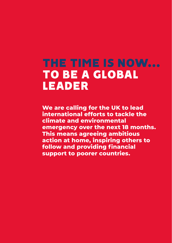# THE TIME IS NOW… TO BE A GLOBAL LEADER

**We are calling for the UK to lead international efforts to tackle the climate and environmental emergency over the next 18 months. This means agreeing ambitious action at home, inspiring others to follow and providing financial support to poorer countries.**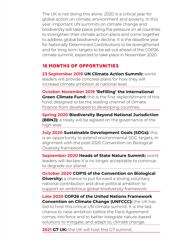The UK is not doing this alone. 2020 is a critical year for global action on climate, environment and poverty. In this year, important UN summits on climate change and biodiversity will take place, piling the pressure on all countries to strengthen their climate action plans and come together to address global biodiversity decline. It is the deadline year for Nationally Determined Contributions to be strengthened and for long term targets to be set out ahead of the COP26 climate summit, expected to take place in November 2020.

## 18 MONTHS OF OPPORTUNITIES

**23 September 2019 UN Climate Action Summit:** world leaders will provide concrete plans for how they will increase climate ambition at national level.

**October-November 2019 'Refilling' the international Green Climate Fund:** this is the first replenishment of this fund, designed to be the leading channel of climate finance from developed to developing countries.

**Spring 2020 Biodiversity Beyond National Jurisdiction (BBNJ):** a treaty will be agreed on the governance of the high seas.

**July 2020 Sustainable Development Goals (SDGs):** this is an opportunity to extend environmental SDG targets, in alignment with the post-2020 Convention on Biological Diversity framework.

**September 2020 Heads of State Nature Summit:** world leaders will declare it is no longer acceptable to continue to degrade our planet.

**October 2020 COP15 of the Convention on Biological Diversity:** a chance to put forward a strong voluntary national contribution and drive political ambition to support an ambitious global biodiversity framework.

**Late 2020 COP26 of the United Nations Framework Convention on Climate Change (UNFCCC):** the UK has bid to host this critical UN climate summit. It is the last chance to raise ambition before the Paris Agreement comes into force and to better integrate nature-based solutions to mitigate, and adapt to, climate change.

**2021 G7 UK:** the UK will host this G7 summit.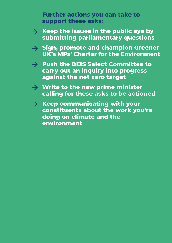**Further actions you can take to support these asks:**

- **Keep the issues in the public eye by**   $\rightarrow$ **submitting parliamentary questions**
- **Sign, promote and champion Greener UK's MPs' Charter for the Environment**
- **Push the BEIS Select Committee to carry out an inquiry into progress against the net zero target**
- **Write to the new prime minister calling for these asks to be actioned**
- $\rightarrow$  Keep communicating with your **constituents about the work you're doing on climate and the environment**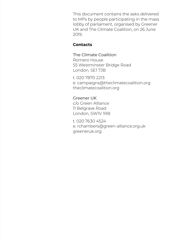This document contains the asks delivered to MPs by people participating in the mass lobby of parliament, organised by Greener UK and The Climate Coalition, on 26 June 2019.

#### **Contacts**

The Climate Coalition Romero House 55 Westminster Bridge Road London, SE1 7JB

t. 020 7870 2213 e. campaigns@theclimatecoalition.org theclimatecoalition.org

Greener UK c/o Green Alliance 11 Belgrave Road London, SW1V 1RB

t. 020 7630 4524 e. rchambers@green-alliance.org.uk greeneruk.org